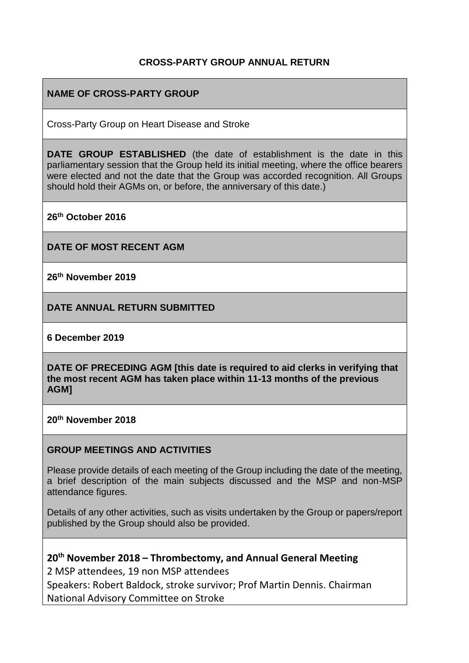### **CROSS-PARTY GROUP ANNUAL RETURN**

## **NAME OF CROSS-PARTY GROUP**

Cross-Party Group on Heart Disease and Stroke

**DATE GROUP ESTABLISHED** (the date of establishment is the date in this parliamentary session that the Group held its initial meeting, where the office bearers were elected and not the date that the Group was accorded recognition. All Groups should hold their AGMs on, or before, the anniversary of this date.)

**26th October 2016**

**DATE OF MOST RECENT AGM**

**26th November 2019**

**DATE ANNUAL RETURN SUBMITTED**

**6 December 2019**

**DATE OF PRECEDING AGM [this date is required to aid clerks in verifying that the most recent AGM has taken place within 11-13 months of the previous AGM]**

**20th November 2018**

#### **GROUP MEETINGS AND ACTIVITIES**

Please provide details of each meeting of the Group including the date of the meeting, a brief description of the main subjects discussed and the MSP and non-MSP attendance figures.

Details of any other activities, such as visits undertaken by the Group or papers/report published by the Group should also be provided.

**20th November 2018 – Thrombectomy, and Annual General Meeting** 2 MSP attendees, 19 non MSP attendees Speakers: Robert Baldock, stroke survivor; Prof Martin Dennis. Chairman National Advisory Committee on Stroke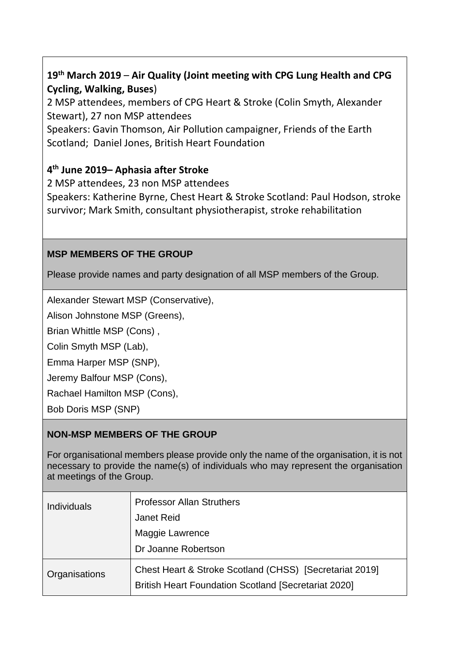# **19th March 2019** – **Air Quality (Joint meeting with CPG Lung Health and CPG Cycling, Walking, Buses**)

2 MSP attendees, members of CPG Heart & Stroke (Colin Smyth, Alexander Stewart), 27 non MSP attendees

Speakers: Gavin Thomson, Air Pollution campaigner, Friends of the Earth Scotland; Daniel Jones, British Heart Foundation

# **4 th June 2019– Aphasia after Stroke**

2 MSP attendees, 23 non MSP attendees Speakers: Katherine Byrne, Chest Heart & Stroke Scotland: Paul Hodson, stroke survivor; Mark Smith, consultant physiotherapist, stroke rehabilitation

## **MSP MEMBERS OF THE GROUP**

Please provide names and party designation of all MSP members of the Group.

Alexander Stewart MSP (Conservative),

Alison Johnstone MSP (Greens),

Brian Whittle MSP (Cons) ,

Colin Smyth MSP (Lab),

Emma Harper MSP (SNP),

Jeremy Balfour MSP (Cons),

Rachael Hamilton MSP (Cons),

Bob Doris MSP (SNP)

# **NON-MSP MEMBERS OF THE GROUP**

For organisational members please provide only the name of the organisation, it is not necessary to provide the name(s) of individuals who may represent the organisation at meetings of the Group.

| <b>Individuals</b> | <b>Professor Allan Struthers</b><br><b>Janet Reid</b><br>Maggie Lawrence<br>Dr Joanne Robertson                        |
|--------------------|------------------------------------------------------------------------------------------------------------------------|
| Organisations      | Chest Heart & Stroke Scotland (CHSS) [Secretariat 2019]<br><b>British Heart Foundation Scotland [Secretariat 2020]</b> |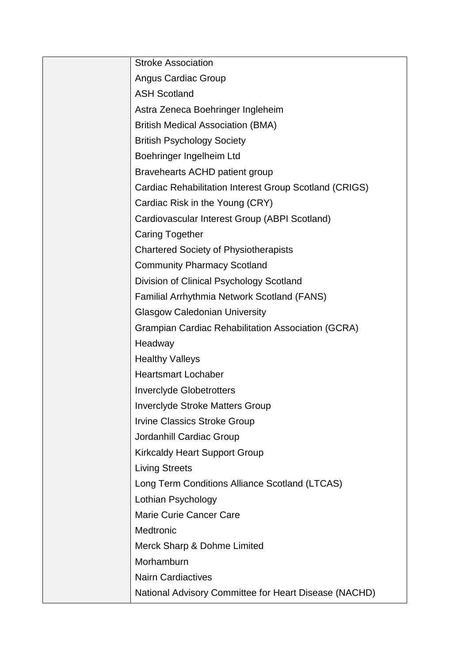| <b>Stroke Association</b>                                 |
|-----------------------------------------------------------|
| <b>Angus Cardiac Group</b>                                |
| <b>ASH Scotland</b>                                       |
| Astra Zeneca Boehringer Ingleheim                         |
| <b>British Medical Association (BMA)</b>                  |
| <b>British Psychology Society</b>                         |
| Boehringer Ingelheim Ltd                                  |
| Bravehearts ACHD patient group                            |
| Cardiac Rehabilitation Interest Group Scotland (CRIGS)    |
| Cardiac Risk in the Young (CRY)                           |
| Cardiovascular Interest Group (ABPI Scotland)             |
| <b>Caring Together</b>                                    |
| <b>Chartered Society of Physiotherapists</b>              |
| <b>Community Pharmacy Scotland</b>                        |
| Division of Clinical Psychology Scotland                  |
| Familial Arrhythmia Network Scotland (FANS)               |
| <b>Glasgow Caledonian University</b>                      |
| <b>Grampian Cardiac Rehabilitation Association (GCRA)</b> |
| Headway                                                   |
| <b>Healthy Valleys</b>                                    |
| <b>Heartsmart Lochaber</b>                                |
| <b>Inverclyde Globetrotters</b>                           |
| <b>Inverclyde Stroke Matters Group</b>                    |
| <b>Irvine Classics Stroke Group</b>                       |
| Jordanhill Cardiac Group                                  |
| <b>Kirkcaldy Heart Support Group</b>                      |
| <b>Living Streets</b>                                     |
| Long Term Conditions Alliance Scotland (LTCAS)            |
| Lothian Psychology                                        |
| Marie Curie Cancer Care                                   |
| Medtronic                                                 |
| Merck Sharp & Dohme Limited                               |
| Morhamburn                                                |
| <b>Nairn Cardiactives</b>                                 |
| National Advisory Committee for Heart Disease (NACHD)     |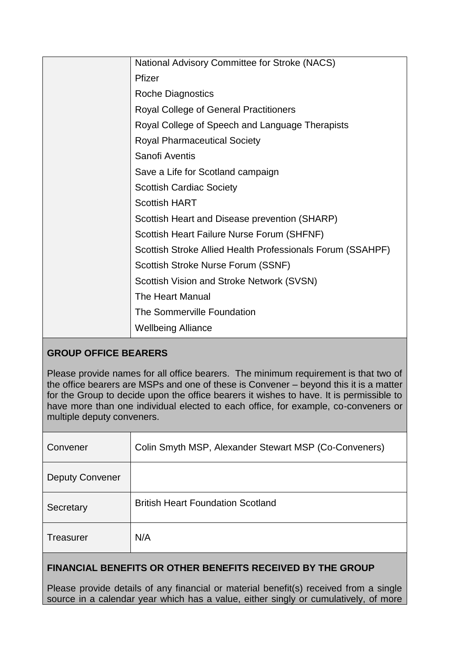| National Advisory Committee for Stroke (NACS)              |
|------------------------------------------------------------|
| Pfizer                                                     |
| <b>Roche Diagnostics</b>                                   |
| <b>Royal College of General Practitioners</b>              |
| Royal College of Speech and Language Therapists            |
| <b>Royal Pharmaceutical Society</b>                        |
| Sanofi Aventis                                             |
| Save a Life for Scotland campaign                          |
| <b>Scottish Cardiac Society</b>                            |
| <b>Scottish HART</b>                                       |
| Scottish Heart and Disease prevention (SHARP)              |
| Scottish Heart Failure Nurse Forum (SHFNF)                 |
| Scottish Stroke Allied Health Professionals Forum (SSAHPF) |
| Scottish Stroke Nurse Forum (SSNF)                         |
| Scottish Vision and Stroke Network (SVSN)                  |
| The Heart Manual                                           |
| The Sommerville Foundation                                 |
| <b>Wellbeing Alliance</b>                                  |

## **GROUP OFFICE BEARERS**

Please provide names for all office bearers. The minimum requirement is that two of the office bearers are MSPs and one of these is Convener – beyond this it is a matter for the Group to decide upon the office bearers it wishes to have. It is permissible to have more than one individual elected to each office, for example, co-conveners or multiple deputy conveners.

| Convener               | Colin Smyth MSP, Alexander Stewart MSP (Co-Conveners) |
|------------------------|-------------------------------------------------------|
| <b>Deputy Convener</b> |                                                       |
| Secretary              | <b>British Heart Foundation Scotland</b>              |
| <b>Treasurer</b>       | N/A                                                   |

## **FINANCIAL BENEFITS OR OTHER BENEFITS RECEIVED BY THE GROUP**

Please provide details of any financial or material benefit(s) received from a single source in a calendar year which has a value, either singly or cumulatively, of more